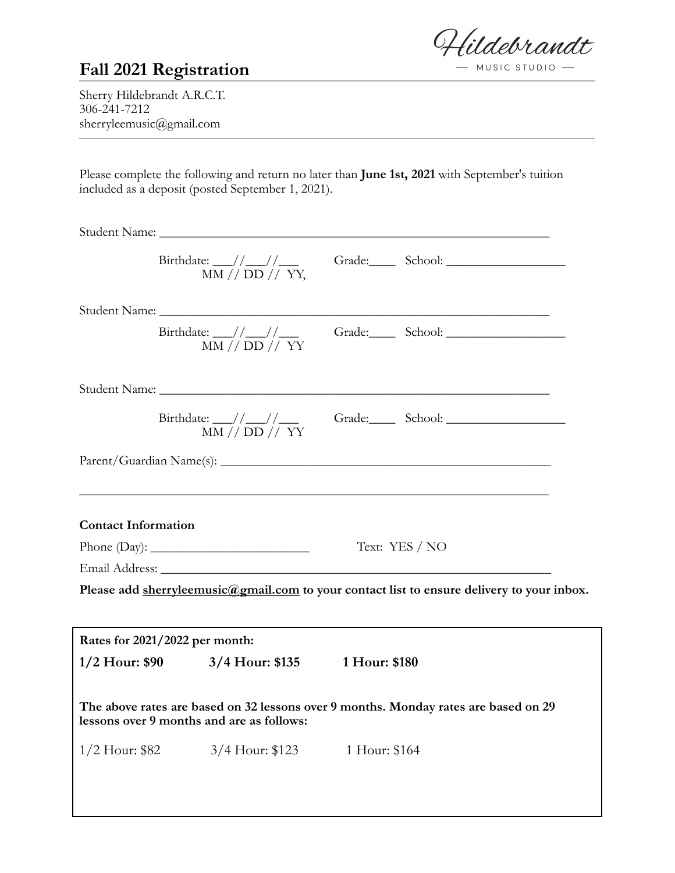ildebrandt  $-MUSIC STUDIO$  -

## **Fall 2021 Registration**

Sherry Hildebrandt A.R.C.T. 306-241-7212 sherryleemusic@gmail.com

Please complete the following and return no later than **June 1st, 2021** with September's tuition included as a deposit (posted September 1, 2021).

|                                | Birthdate: $\frac{\frac{1}{\frac{1}{\sqrt{2}}}}{MN}/\frac{\frac{1}{\sqrt{2}}}}{ND}/\frac{1}{\sqrt{2}}$ |                |                                                                                                                                                                                                                                                                                                                                                                                                             |
|--------------------------------|--------------------------------------------------------------------------------------------------------|----------------|-------------------------------------------------------------------------------------------------------------------------------------------------------------------------------------------------------------------------------------------------------------------------------------------------------------------------------------------------------------------------------------------------------------|
|                                |                                                                                                        |                |                                                                                                                                                                                                                                                                                                                                                                                                             |
|                                | MM // DD // YY                                                                                         |                |                                                                                                                                                                                                                                                                                                                                                                                                             |
|                                |                                                                                                        |                |                                                                                                                                                                                                                                                                                                                                                                                                             |
|                                |                                                                                                        |                | Birthdate: $\frac{1}{\frac{1}{1-\frac{1}{1-\frac{1}{1-\frac{1}{1-\frac{1}{1-\frac{1}{1-\frac{1}{1-\frac{1}{1-\frac{1}{1-\frac{1}{1-\frac{1}{1-\frac{1}{1-\frac{1}{1-\frac{1}{1-\frac{1}{1-\frac{1}{1-\frac{1}{1-\frac{1}{1-\frac{1}{1-\frac{1}{1-\frac{1}{1-\frac{1}{1-\frac{1}{1-\frac{1}{1-\frac{1}{1-\frac{1}{1-\frac{1}{1-\frac{1}{1-\frac{1}{1-\frac{1}{1-\frac{1}{1-\frac{1}{1-\frac{1}{1-\frac{1}{1$ |
|                                |                                                                                                        |                |                                                                                                                                                                                                                                                                                                                                                                                                             |
| <b>Contact Information</b>     |                                                                                                        |                |                                                                                                                                                                                                                                                                                                                                                                                                             |
|                                |                                                                                                        | Text: YES / NO |                                                                                                                                                                                                                                                                                                                                                                                                             |
|                                |                                                                                                        |                |                                                                                                                                                                                                                                                                                                                                                                                                             |
|                                |                                                                                                        |                | Please add sherryleemusic@gmail.com to your contact list to ensure delivery to your inbox.                                                                                                                                                                                                                                                                                                                  |
| Rates for 2021/2022 per month: |                                                                                                        |                |                                                                                                                                                                                                                                                                                                                                                                                                             |
| $1/2$ Hour: \$90               | 3/4 Hour: \$135                                                                                        | 1 Hour: \$180  |                                                                                                                                                                                                                                                                                                                                                                                                             |
|                                | lessons over 9 months and are as follows:                                                              |                | The above rates are based on 32 lessons over 9 months. Monday rates are based on 29                                                                                                                                                                                                                                                                                                                         |
| $1/2$ Hour: \$82               | 3/4 Hour: \$123                                                                                        | 1 Hour: \$164  |                                                                                                                                                                                                                                                                                                                                                                                                             |
|                                |                                                                                                        |                |                                                                                                                                                                                                                                                                                                                                                                                                             |